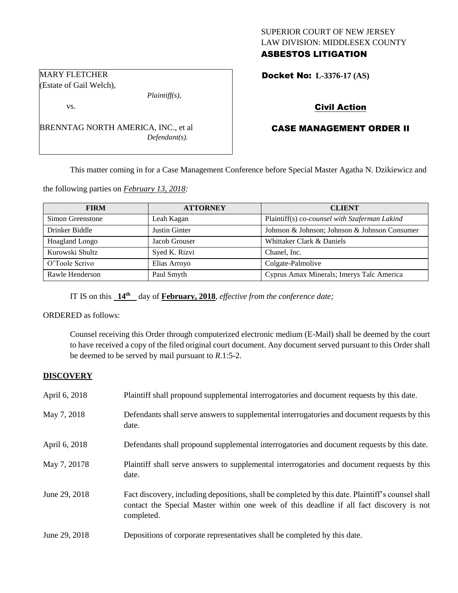## SUPERIOR COURT OF NEW JERSEY LAW DIVISION: MIDDLESEX COUNTY ASBESTOS LITIGATION

Docket No: **L-3376-17 (AS)** 

# Civil Action

# CASE MANAGEMENT ORDER II

This matter coming in for a Case Management Conference before Special Master Agatha N. Dzikiewicz and

the following parties on *February 13, 2018:*

| <b>FIRM</b>           | <b>ATTORNEY</b> | <b>CLIENT</b>                                 |
|-----------------------|-----------------|-----------------------------------------------|
| Simon Greenstone      | Leah Kagan      | Plaintiff(s) co-counsel with Szaferman Lakind |
| Drinker Biddle        | Justin Ginter   | Johnson & Johnson; Johnson & Johnson Consumer |
| <b>Hoagland Longo</b> | Jacob Grouser   | Whittaker Clark & Daniels                     |
| Kurowski Shultz       | Syed K. Rizvi   | Chanel, Inc.                                  |
| O'Toole Scrivo        | Elias Arroyo    | Colgate-Palmolive                             |
| Rawle Henderson       | Paul Smyth      | Cyprus Amax Minerals; Imerys Talc America     |

IT IS on this **14th** day of **February, 2018**, *effective from the conference date;*

ORDERED as follows:

Counsel receiving this Order through computerized electronic medium (E-Mail) shall be deemed by the court to have received a copy of the filed original court document. Any document served pursuant to this Order shall be deemed to be served by mail pursuant to *R*.1:5-2.

### **DISCOVERY**

| April 6, 2018 | Plaintiff shall propound supplemental interrogatories and document requests by this date.                                                                                                                   |
|---------------|-------------------------------------------------------------------------------------------------------------------------------------------------------------------------------------------------------------|
| May 7, 2018   | Defendants shall serve answers to supplemental interrogatories and document requests by this<br>date.                                                                                                       |
| April 6, 2018 | Defendants shall propound supplemental interrogatories and document requests by this date.                                                                                                                  |
| May 7, 20178  | Plaintiff shall serve answers to supplemental interrogatories and document requests by this<br>date.                                                                                                        |
| June 29, 2018 | Fact discovery, including depositions, shall be completed by this date. Plaintiff's counsel shall<br>contact the Special Master within one week of this deadline if all fact discovery is not<br>completed. |
| June 29, 2018 | Depositions of corporate representatives shall be completed by this date.                                                                                                                                   |

vs.

BRENNTAG NORTH AMERICA, INC., et al *Defendant(s).*

# MARY FLETCHER (Estate of Gail Welch),

*Plaintiff(s),*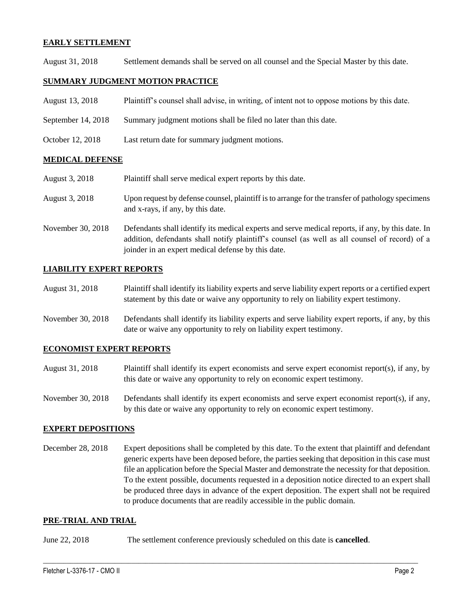## **EARLY SETTLEMENT**

August 31, 2018 Settlement demands shall be served on all counsel and the Special Master by this date.

## **SUMMARY JUDGMENT MOTION PRACTICE**

| August 13, 2018 | Plaintiff's counsel shall advise, in writing, of intent not to oppose motions by this date. |  |  |
|-----------------|---------------------------------------------------------------------------------------------|--|--|
|                 |                                                                                             |  |  |

- September 14, 2018 Summary judgment motions shall be filed no later than this date.
- October 12, 2018 Last return date for summary judgment motions.

## **MEDICAL DEFENSE**

August 3, 2018 Plaintiff shall serve medical expert reports by this date.

- August 3, 2018 Upon request by defense counsel, plaintiff is to arrange for the transfer of pathology specimens and x-rays, if any, by this date.
- November 30, 2018 Defendants shall identify its medical experts and serve medical reports, if any, by this date. In addition, defendants shall notify plaintiff's counsel (as well as all counsel of record) of a joinder in an expert medical defense by this date.

## **LIABILITY EXPERT REPORTS**

| August 31, 2018 | Plaintiff shall identify its liability experts and serve liability expert reports or a certified expert |
|-----------------|---------------------------------------------------------------------------------------------------------|
|                 | statement by this date or waive any opportunity to rely on liability expert testimony.                  |

November 30, 2018 Defendants shall identify its liability experts and serve liability expert reports, if any, by this date or waive any opportunity to rely on liability expert testimony.

### **ECONOMIST EXPERT REPORTS**

- August 31, 2018 Plaintiff shall identify its expert economists and serve expert economist report(s), if any, by this date or waive any opportunity to rely on economic expert testimony.
- November 30, 2018 Defendants shall identify its expert economists and serve expert economist report(s), if any, by this date or waive any opportunity to rely on economic expert testimony.

### **EXPERT DEPOSITIONS**

December 28, 2018 Expert depositions shall be completed by this date. To the extent that plaintiff and defendant generic experts have been deposed before, the parties seeking that deposition in this case must file an application before the Special Master and demonstrate the necessity for that deposition. To the extent possible, documents requested in a deposition notice directed to an expert shall be produced three days in advance of the expert deposition. The expert shall not be required to produce documents that are readily accessible in the public domain.

 $\_$  ,  $\_$  ,  $\_$  ,  $\_$  ,  $\_$  ,  $\_$  ,  $\_$  ,  $\_$  ,  $\_$  ,  $\_$  ,  $\_$  ,  $\_$  ,  $\_$  ,  $\_$  ,  $\_$  ,  $\_$  ,  $\_$  ,  $\_$  ,  $\_$  ,  $\_$  ,  $\_$  ,  $\_$  ,  $\_$  ,  $\_$  ,  $\_$  ,  $\_$  ,  $\_$  ,  $\_$  ,  $\_$  ,  $\_$  ,  $\_$  ,  $\_$  ,  $\_$  ,  $\_$  ,  $\_$  ,  $\_$  ,  $\_$  ,

### **PRE-TRIAL AND TRIAL**

June 22, 2018 The settlement conference previously scheduled on this date is **cancelled**.